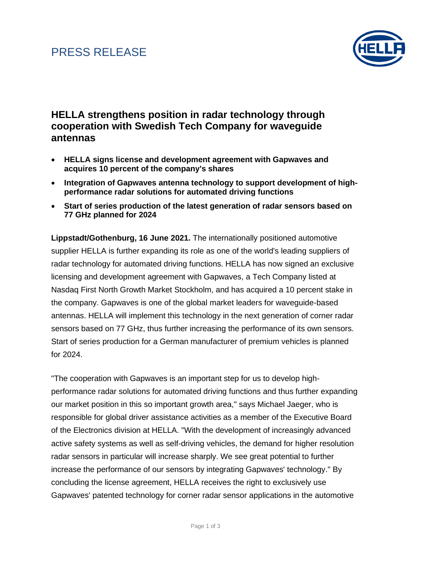# PRESS RELEASE



### **HELLA strengthens position in radar technology through cooperation with Swedish Tech Company for waveguide antennas**

- **HELLA signs license and development agreement with Gapwaves and acquires 10 percent of the company's shares**
- **Integration of Gapwaves antenna technology to support development of highperformance radar solutions for automated driving functions**
- **Start of series production of the latest generation of radar sensors based on 77 GHz planned for 2024**

**Lippstadt/Gothenburg, 16 June 2021.** The internationally positioned automotive supplier HELLA is further expanding its role as one of the world's leading suppliers of radar technology for automated driving functions. HELLA has now signed an exclusive licensing and development agreement with Gapwaves, a Tech Company listed at Nasdaq First North Growth Market Stockholm, and has acquired a 10 percent stake in the company. Gapwaves is one of the global market leaders for waveguide-based antennas. HELLA will implement this technology in the next generation of corner radar sensors based on 77 GHz, thus further increasing the performance of its own sensors. Start of series production for a German manufacturer of premium vehicles is planned for 2024.

"The cooperation with Gapwaves is an important step for us to develop highperformance radar solutions for automated driving functions and thus further expanding our market position in this so important growth area," says Michael Jaeger, who is responsible for global driver assistance activities as a member of the Executive Board of the Electronics division at HELLA. "With the development of increasingly advanced active safety systems as well as self-driving vehicles, the demand for higher resolution radar sensors in particular will increase sharply. We see great potential to further increase the performance of our sensors by integrating Gapwaves' technology." By concluding the license agreement, HELLA receives the right to exclusively use Gapwaves' patented technology for corner radar sensor applications in the automotive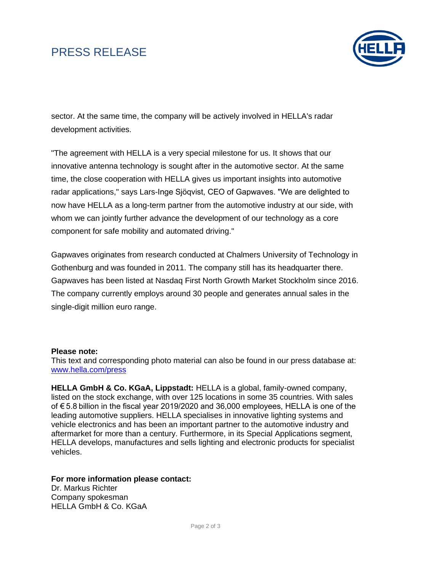# PRESS RELEASE



sector. At the same time, the company will be actively involved in HELLA's radar development activities.

"The agreement with HELLA is a very special milestone for us. It shows that our innovative antenna technology is sought after in the automotive sector. At the same time, the close cooperation with HELLA gives us important insights into automotive radar applications," says Lars-Inge Sjöqvist, CEO of Gapwaves. "We are delighted to now have HELLA as a long-term partner from the automotive industry at our side, with whom we can jointly further advance the development of our technology as a core component for safe mobility and automated driving."

Gapwaves originates from research conducted at Chalmers University of Technology in Gothenburg and was founded in 2011. The company still has its headquarter there. Gapwaves has been listed at Nasdaq First North Growth Market Stockholm since 2016. The company currently employs around 30 people and generates annual sales in the single-digit million euro range.

#### **Please note:**

This text and corresponding photo material can also be found in our press database at: [www.hella.com/press](http://www.hella.com/hella-com/7634.html?rdeLocale=en)

**HELLA GmbH & Co. KGaA, Lippstadt:** HELLA is a global, family-owned company, listed on the stock exchange, with over 125 locations in some 35 countries. With sales of € 5.8 billion in the fiscal year 2019/2020 and 36,000 employees, HELLA is one of the leading automotive suppliers. HELLA specialises in innovative lighting systems and vehicle electronics and has been an important partner to the automotive industry and aftermarket for more than a century. Furthermore, in its Special Applications segment, HELLA develops, manufactures and sells lighting and electronic products for specialist vehicles.

**For more information please contact:**

Dr. Markus Richter Company spokesman HELLA GmbH & Co. KGaA